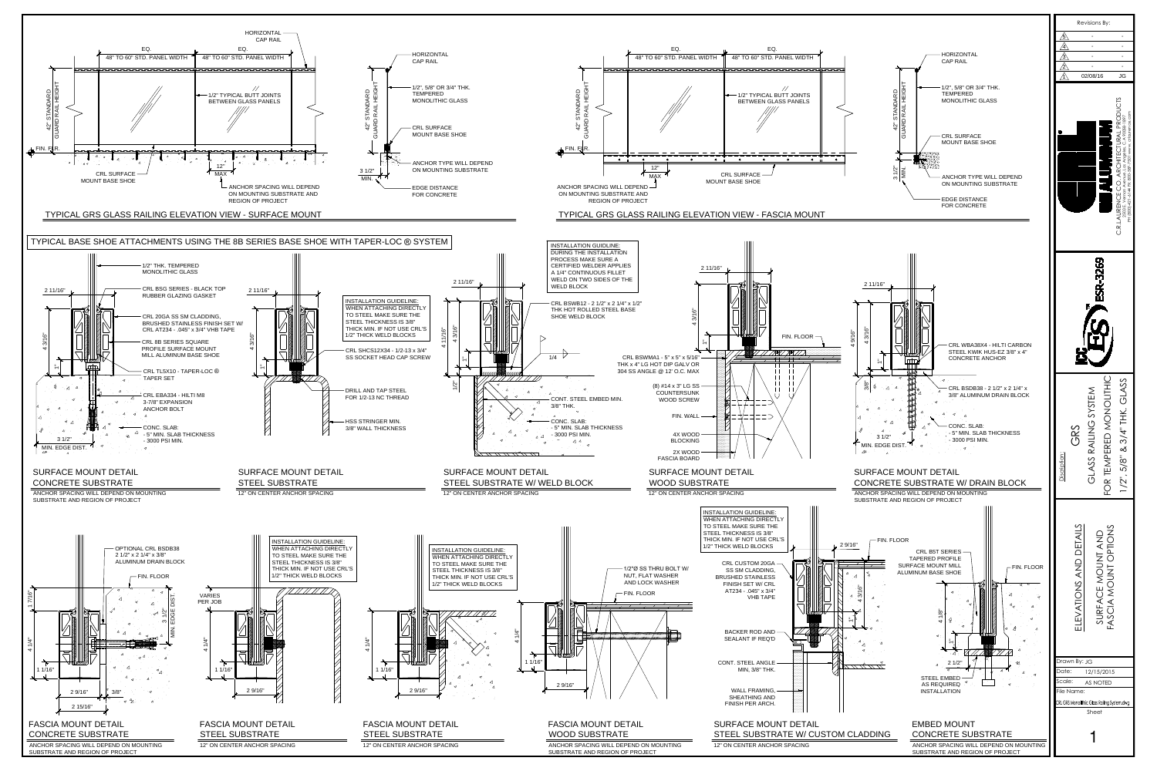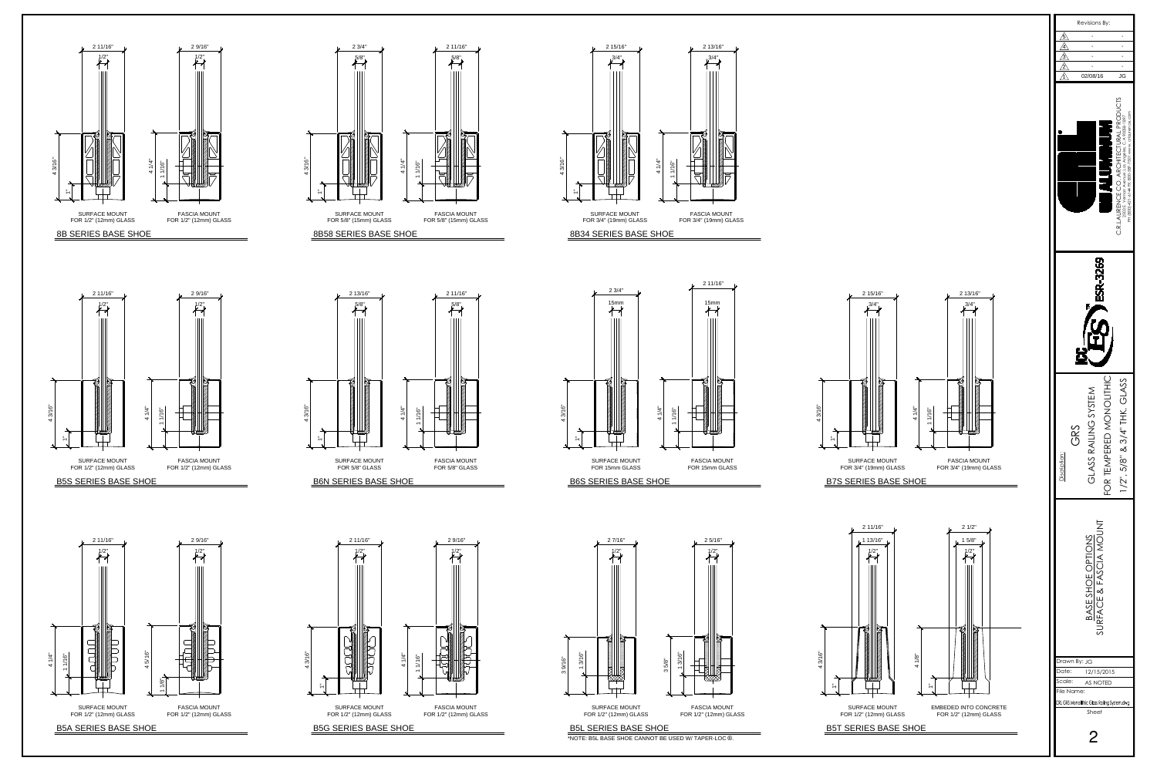















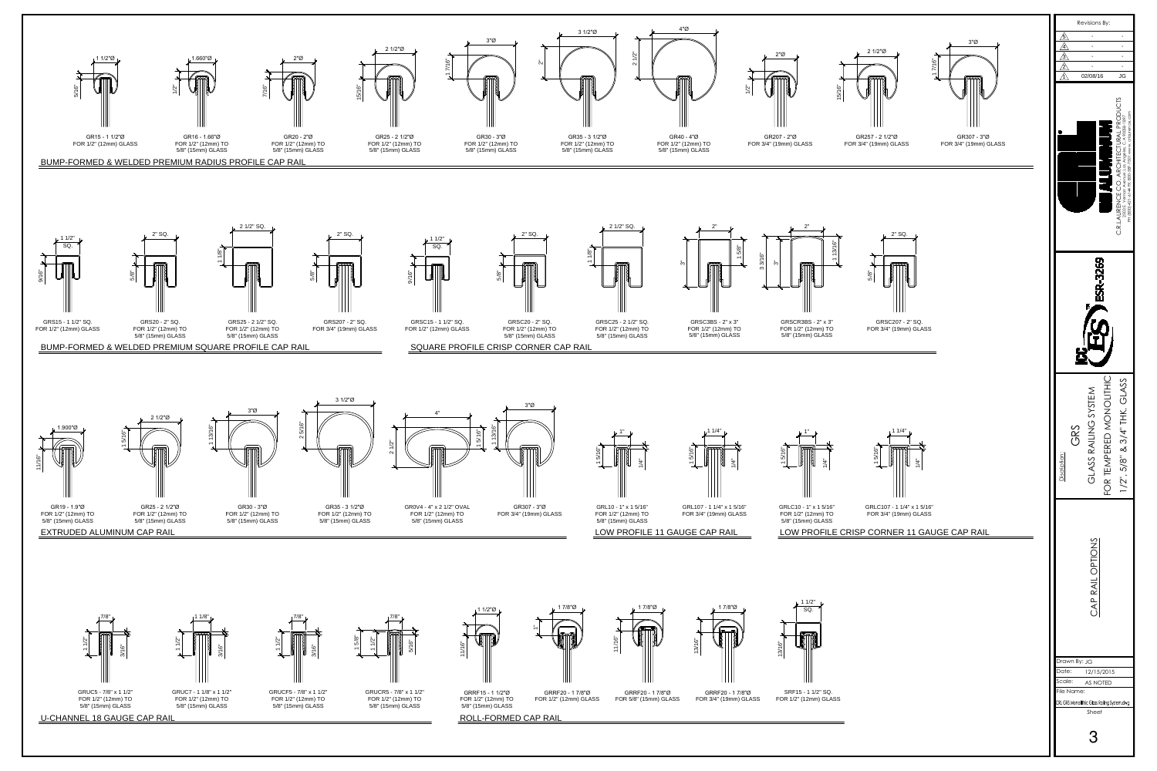